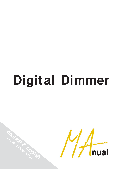# **Digital Dimmer**

**deutsch & english** 

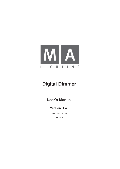

## **Digital Dimmer**

**User´s Manual**

**Version 1.43**

**from S/N 10293**

**06.2013**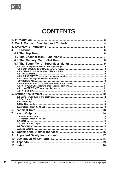

# **CONTENTS**

| 8. |  |
|----|--|
| 9. |  |
|    |  |
|    |  |
|    |  |
|    |  |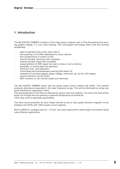## **1. Introduction**

The MA DIGITAL DIMMER contains a 32 bit high power computer with a Time Processing Unit and a big graphic display in a very solid housing. This extravagant technology offers new and exciting possibilities:

- ease of operation due to few, clear menus
- free patching of the DMX addresses for every channel
- free programming of control curves
- internal storable memories with crossfade
- internal storable chase with crossfade
- stopping/failure of DMX signal can start a chase or call a memory
- possibility of cutting down the operation
- electronic fuse- and loadcheck
- overvoltage and overtemperature warning with switch off
- indication of incoming signals, phase voltage, memories, etc. by the LCD display
- several dimmers can be linked
- MIDI interface to call internal chase and memories

The MA DIGITAL DIMMER works with the phase angle control method with SCRs. This method produces disturbance especially in the lower frequency range. This will be eliminated by using very good interference suppression filters.

The heat production of the filters is reduced by using a new core material. The rest of the heat will be blown out through the front panel by a powerful temperature controlled fan.

100% duty cycle is absolutely guaranteed.

The short circuit protection for each single channel is due to high quality Siemens magnetic circuit breakers and SCRs with 1000 A peak current capacity.

Built-in DMX512, analogue input (0...10 Volt) and load outputs with a wide range of connectors allow many different applications.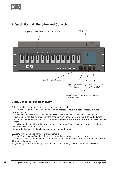



## **2. Quick Manual / Function and Controls**

#### **Quick Manual for people in hurry:**

Before switching the dimmer on connect the load control cables.

- If the dimmer is delivered ex work and used with analogue input, it is not necessary to make any adjustments.
- If the dimmer is delivered ex work and used with **DMX** input, please press the Menu button (middle) under the display once. Now the channel menu appears, where the DMX start address can be set. To do that keep the right button pressed down and adjust the DMX start address with the encoder.
- If the Dimmer is not delivered ex work, but e.g. is returned from a rental, all storages should be cleared and set to default values:

To activate this powerful function please read chapter 4.4 resp. 4.4.7.

Basically the menus and softkeys work as follows:

The three "basic menus" can be selected one after the other by the middle button.

The encoder can be turned with or without simultaneously pressing a button; the functions will be different in the various menus.

Programming is only possible by pressing a button and turning the encoder at the same time.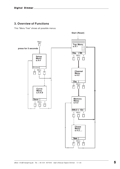## **3. Overview of Functions**

This "Menu Tree" shows all possible menus.

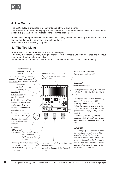

## **4. The Menus**

The LCD display is integrated into the front panel of the Digital Dimmer. The three buttons below the display and the Encoder (Data Wheel) make all necessary adjustments possible e.g. DMX address, limitation, control curves, preheat, etc.

Principle of working: The middle button below the Display leads to the following 3 menus. All data are fed into the dimmer by the encoder and both softkeys. More details in the following chapters.

## **4.1 The Top Menu**

After "Power On" the "Top Menu" is shown in the display.

This menu is the standard menu during normal use. Here the status and error messages and the input monitors of the channels are displayed.

Within this menu it is also possible to set the channels to definable values (test function).

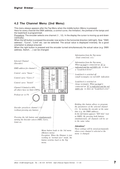## **4.2 The Channel Menu (2nd Menu)**

This menu always appears after the Top Menu when the middle button (Menu) is pressed.

Here for every channel the DMX address, a control curve, the limitation, the preheat of the lamps and the loadcheck is programmed .

Procedure: The encoder selects one channel (1...12). In the display the cursor is moving up and down (vertically).

When the left button is pressed the encoder now works in the horizontal direction (left/right). Now "DMX address", "Curve", "Limit" etc. can be selected. The actual value is displayed inversely. So a good orientation is always ensured.

When the right button is pressed and the encoder turned simultaneously the actual value (e.g. DMX address, Switch, ...) can be changed.

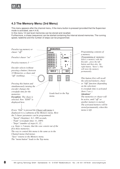

## **4.3 The Memory Menu (3rd Menu)**

This menu appears after the channel menu, if the menu button is pressed (provided that the Supervisor mode is activated, see 4.4.6).

In this menu 12 real level memories can be stored and recalled.

Furthermore, a chase (sequence) can be started containing the internal stored memories. The running speed, fadetime and the number of steps can be programmed.

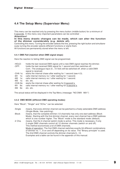## **4.4 The Setup Menu (Supervisor Menu)**

This menu can be reached only by pressing the menu button (middle button) for a minimum of 5 seconds. In this menu very important parameters can be controlled .

#### **Attention!**

**In this menu drastic changes can be made, which can alter the function of the dimmer considerably (e.g. delete all).**

Controlling this menu: Turning the encoder selects the line, pressing the right button and simultaneously turning the encoder selects different functions or starts them. All functions are permanently stored when the menu is left.

#### **4.4.1 DMX Fail (reaction when DMX signal stops)**

Here the reaction to failing DMX signal can be programmed.

| -HOLD:<br>$-OFF:$ | holds the last received DMX signal until a new DMX signal reaches the dimmer.<br>holds the last received DMX signal for 1 second and then switches off.<br>Com.: The analogue input (010 Volt) will be switched off, when a valid DMX<br>signal is received. |
|-------------------|--------------------------------------------------------------------------------------------------------------------------------------------------------------------------------------------------------------------------------------------------------------|
| -CHA 1s:          | starts the internal chase after waiting for 1 second (see 4.3).                                                                                                                                                                                              |
| -M1 1s:           | calls internal memory no.1 after waiting for 1 second.                                                                                                                                                                                                       |
| -M2 1s:           | calls internal memory no.1 after waiting for 1 second.                                                                                                                                                                                                       |
| -M3 1s:           | etc. etc.                                                                                                                                                                                                                                                    |
| -CHA 9s:          | starts the internal chase after waiting for 9 second's.                                                                                                                                                                                                      |
| -M1 9s:           | calls internal memory no.1 after waiting for 9 second's.                                                                                                                                                                                                     |
| -M2 9s:           | etc. etc.                                                                                                                                                                                                                                                    |

The actual status will be displayed in the Top Menu (message: "NO DMX M01")

#### **4.4.2 DMX MODE (different DMX operating modes)**

Here "Block", "Single" and "2Cha." can be selected.

- -Single means, that every dimmer channel can be patched to a freely selectable DMX address (Single-Mode, free patching).
- -Block means, that the complete dimmer (12 channels) has only one start address (Block Mode). Starting with the first dimmer channel, every next channel has a DMX address which is one number higher. The "Block" mode is the standard mode (default).
- -2 Cha. means, that the 2-channel switch-mode is active. This mode is necessary, if only 2 single DMX channels control all 12 dimmer channels (switch on and off). This method economizes a lot of DMX channels. Mode of operation: The first DMX channel switches exactly 64 different combinations of dimmer no. 1...6 on and off depending on its value. The "Binary principle" is used. The 2nd DMX channel controls the dimmer channels 6...12. Examples and a table can be found in the appendix of this manual.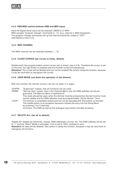

#### **4.4.3 DMX/MIDI (switch between DMX and MIDI input)**

Here the digital serial input can be selected: DMX512 or MIDI. MIDI accepts "program change" commands 0...13. (e.g. used for a MIDI footswitch). The program change commands call up the internal memories, chase or "OFF" (see Memory menu 4.3).

#### **4.4.4 MIDI CHANNEL**

The MIDI channel can be selected between 1...16.

#### **4.4.5 CLEAR CURVES (set curves to linear, default)**

Deletes both free programmable control curves (set to linear) (see 4.4.8). Therefore the cursor is set on this line, the right button is pressed and the encoder turned simultaneously. **Attention!** The curves will be deleted and can not be recalled! Be careful using this function, because it may be hard work to reprogram the curves.

#### **4.4.6 USER MODE (cut down the operation of the dimmer)**

With this function the dimmer function can be cut down in 3 steps:

- -SUPER "Supervisor" means, that all functions can be used.
- -NORM "Normal User" means, that in the Channel Menu only the DMX address can be programmed. The Memory Menu is switched off. This mode should be used, when the dimmer must be protected but the test function must remain usable and the DMX address must be programmable. (Quick-Rental / Tour).
- -LOCK The dimmer is completely locked and can not be operated with the buttons or encoder. The middle button is an exception because it allows the entry into the Setup Menu by pressing it for 5 seconds. Comment: The DMX as well as the analogue input works normally as before.

#### **4.4.7 DELETE ALL (set all to default)**

"Delete All" deletes all memories, chases, DMX addresses, curves, etc. The DMX address will be set to "1" and the "Block" Mode is activated. Limit is set to 100%, preheat to zero. **Attention!** All data will be deleted ! Be careful in using this function, because it may be hard work to reprogram all functions.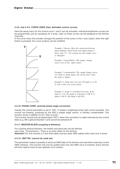#### **4.4.8. and 4.4.9 CURVE USER (User definable control curves)**

Here the setup menu for the control curve 1 and 2 can be activated. Individual brightness curves can be programmed, just as necessary for a lamp. Later on these curves can be assigned to the dimmer channels.

In the curve menu the encoder changes the position of the cursor in the x-axis (input); when the right button is pressed, the y-axis (output) can be modified.



#### **4.4.10. PHASE CORR. (activate phase angle correction)**

Usually this control parameter is set to "ON". It makes a brightness-linear light control possible. The normal non-linearity, produced by the SRC´s phase angle control, is thereby compensated. This function works in addition to the "User Curves".

This function should only be deactivated ("NO"), when this correction is made internally by the control desk (e.g. MA Lightcommander I) and cannot be switched off.

#### **4.4.11. MASTER/SLAVE (coupling of dimmers)**

For coupling several dimmers, the master and slave part can be defined. (see chap. "Connections"). There is no other effect on the dimmer. **Attention!** For this function a 5 wire DIN cable must be used; MIDI cables often have only 3 wires!

#### **4.4.12. UNIT NO. (cannot be used yet)**

This parameter makes it possible to send out DMX data of the dimmer and read them externally via the DMX interface. This function will only be usable when the new DMX norm is finished. Every dimmer will then need to have its own address (unit number).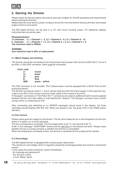

## **5. Starting the Dimmer**

Please check all relevant safety instructions (see also Chapter 9), the EN-standards and requirements before starting the dimmer!

Additionally the local electric power company should be informed before starting dimmers with phase angle control of such power.

The MA Digital Dimmer can be built in a 19" rack mount housing (case). For additional stability horizontal bars should be used.

```
Phasedistribution:
12 channels: L1 = Channel 1 - 4, L2 = Channel 5 - 8, L3 = Channel 9 - 12.
6 channels: L1 = Channel 1 + 2, L2 = Channel 3 + 4, L3 = Channel 5 + 6.
The minimum load is 20Watt.
```
#### **WARNING:**

**max inductive load is 90% of rated power!**

#### **5.1 Mains Supply and earthing**

The dimmer should be connected to the three phase mains power with neutral (3x230 Volt Y) via an 5 pin 63A- or 32A-CEE connector. Earth must be connected.

| Color code     |                |
|----------------|----------------|
| L1             | brown          |
| L <sub>2</sub> | black          |
| L3             | grey           |
| N              | blue           |
| <b>GND</b>     | green - yellow |

The CEE connector is not included. The 3 phase power must be equipped with a 30mA-"Fail current protecting switch".

The dimmer can also be used in 1- and 2- phase mode at a 230 Volt mains supply. In this case the max. Load is only 40% of the normal maximum load (cable of the neutral is too thin!).

If "Socapex" connectors or "Hot-Patch-St17" connectors are used an additional Earth must be applied between dimmer and load cables or load distribution. Reason: The Socapex connector has no earth contact which is conducting at first!

After connecting and switching on no ERROR messages should show in the display; the three voltmeters should display 200-240 Volt. When one phase is lost, the green LED in the middle button will blink.

#### **5.2 Fan Control**

Please check good air-supply for the dimmer. The fan which takes the air in and transports it to the front where it is blown out is at the backside.

The fan is temperature-controlled. The first stage starts at 40 °C, the second at 50 °C.

At 80 °C the message "OVERTEMP" shows and the red LED´s in the buttons will blink. Please check whether the fan is running correctly or whether the dimmer is overloaded!

When the temperature increases further, the dimmer is switched off and a beep will be started.

#### **5.3 Overvoltage**

The MA Digital Dimmer is equipped with a mains power observation.

This checks an overvoltage, which is regularly caused by exchanging phase and neutral or having lost neutral.

In this cases the power protection reacts immediately:

- All channels are switched off,
- the red LED´s blink,
- a loud "Beep" starts.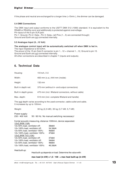## **Digital Dimmer**

If the phase and neutral are exchanged for a longer time (>15min.), the dimmer can be damaged.

#### **5.4 DMX Connections**

The DMX input and output conforms to the USITT DMX 512 (1990) standard. It is equivalent to the RS485 or RS422a norm and additionally is protected against overvoltage. Pin layout of the 5-pin XLR jack: Pin 1: Ground, Pin 2: Data-, Pin 3: Data+ (all Pins (1...5) are connected through)

Ground and Earth are not connected internally.

#### **5.5 Analogue Input (0...10 Volt)**

**The analogue control input will be automatically switched off when DMX is fed in.** The input impedance is 50 kOhm. The pinout of the 15 pin Sub-D connector is pin 1...12 = channel 1...12, Ground is pin 15.

Ground and Earth are not connected internally. All other connections are described in chapter 7 (inputs and outputs).

## **6. Technical Data**

| Housing:                                                                                                       | 19 Inch, 3 U |                                                  |  |
|----------------------------------------------------------------------------------------------------------------|--------------|--------------------------------------------------|--|
| Width:                                                                                                         |              | 483 mm (o.a.) 444 mm (inside)                    |  |
| Height:                                                                                                        | 132 mm       |                                                  |  |
| Built in depth net:                                                                                            |              | 370 mm (without in- and output connectors)       |  |
| Built in depth gross:                                                                                          |              | 470 mm (incl. Wieland connectors, without cable) |  |
| Max. depth:                                                                                                    |              | 510 mm (incl. complete Wieland and handle)       |  |
| The real depth varies according to the used connector, cable outlet and cable.<br>It increases by up to 100mm. |              |                                                  |  |
| Weight:                                                                                                        |              | 30 kg (2,3 kW); 35 kg (3,7 kW, 5,7 kW)           |  |
| Power supply:<br>230 / 400 Volt<br>50 / 60 Hz. No manual switching neccessary!                                 |              |                                                  |  |
| frontal acoustic measuring, distance 1000mm, device separated.<br>12x2,3KW (10A)                               |              |                                                  |  |
| 12x 50% load, ventilator off:<br>38dbA                                                                         |              |                                                  |  |
| 12x 100% load, ventilator off:                                                                                 |              | 34,5dbA                                          |  |
| 12x 50% load, ventilator 100%:                                                                                 |              | 49dbA                                            |  |
| 12x 100% load, ventilator 100%:<br>47dbA<br>12x2,3KW TV3 (10A)                                                 |              |                                                  |  |
| 12x 50% load, ventilator off:<br>37dbA                                                                         |              |                                                  |  |
| 12x 100% load, ventilator off:                                                                                 |              | 34dbA                                            |  |
| 12x 50% load, ventilator 100%:                                                                                 |              | 48dbA                                            |  |
| 12x 100% load, ventilator 100%:<br>46,5dbA                                                                     |              |                                                  |  |
| Heat built-up:                                                                                                 |              |                                                  |  |

Heat built-up depends on load. Determine the value with:

**max load (in kW) x 1,5 / 100 = max heat built-up (in kW)**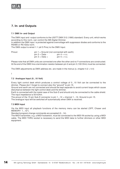

## **7. In- and Outputs**

#### **7.1 DMX In- and Output**

The DMX input and -output conforms to the USITT DMX 512 (1990) standard. Every unit, which works according to this norm, can control the MA Digital Dimmer.

In addition the DMX input is protected against overvoltage with suppressor diodes and conforms to the RS485 or RS 422a norm.

The DMX output is wired 1:1 (all 5 Pins) to the DMX Input.

Pinout: pin 1 = Ground (not connected with earth)  $pin 2 = Data -$  pin  $4 = n.c.$  $pin 3 = Data +$  pin  $5 = n.c.$ 

Please note that all DMX units are connected one after the other and no Y-connections are constructed. At the end of the DMX line a termination resistor between pin 2 and pin 3 (100 Ohm) must be connected.

The DMX adjustments as DMX address etc. are made in the menus (s. chapter  $4.2 + 4.4$ )

I

#### **7.2 Analogue Input (0...10 Volt)**

Every light control desk which produces a control voltage of 0...10 Volt can be connected to the dimmer. Please don´t forget to connect also the "ground" to pin 15.

Ground and earth are not connected and should be kept separate to avoid current loops which cause disturbance between the light control desk and the dimmer.

Earth is connected with the metal case of the Sub-D and should only be connected to the cable shield. The input impedance is 50 kOhm.

The pinout of the 15 pin Sub-D connector is pin  $1...12$  = channel 1...12, Ground is pin 15.

The analogue input will be switched off automatically when DMX is received.

#### **7.3 MIDI input**

Via the MIDI input all playback functions of the memory menu can be started (OFF, Chaser and MEMORY 1...12").

Standard program change commands are accepted (0...14).

The MIDI transmitter, e.g. a MIDI footswitch, must be connected to the MIDI IN socket by using a MIDI cable. The MIDI THRU socket is necessary to send the MIDI data to further dimmers or other MIDI equipment.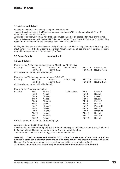#### 7.4 **Link In- and Output**

Linking of dimmers is possible by using the LINK interface. The playback functions of the Memory menu are transferred: "OFF, Chaser, MEMORY 1...12". Other functions are not transferred.

**Attention!** For this function a 5 wire DIN-cable must be used; MIDI cables often have only 3 wires! This cable is connected with the MASTER dimmer (LINK-OUT) and the SLAVE dimmer (LINK-IN). The rest of the SLAVE dimmers are connected from LINK THRU to LINK IN.

Linking the dimmers is advisable when the light must be controlled only by dimmers without any other input control (e.g. if the light control desk fails). Other examples of use are test functions, focusing only with one operator and "booth lighting" at fairs.

#### **7.5 Power Supply see chapter 5.1**

#### **7.6 Load Output**

|           |                                   | Pinout for the Wieland connectors (dimmer 12x2,3 kW, 12x3,7 kW) |              |           |             |
|-----------|-----------------------------------|-----------------------------------------------------------------|--------------|-----------|-------------|
| top plug: | Pin $16$                          | Phase 16                                                        | bottom plug: | Pin $16$  | Phase 712   |
|           | Pin 914                           | Neutral 16                                                      |              | Pin 914   | Neutral 712 |
|           |                                   | all Neutrals are connected inside the unit.                     |              |           |             |
|           |                                   | Pinout for the Wieland connectors (dimmer 6x5,7 kW)             |              |           |             |
| top plug: | Pin 1,3,5                         | Phase 13                                                        | bottom plug: | Pin 1,3,5 | Phase $46$  |
|           | Pin 2,4,6                         | Neutral 13                                                      |              | Pin 2,4,6 | Neutral 46  |
|           |                                   | all Neutrals are connected inside the unit.                     |              |           |             |
|           | Pinout for the Socapex connector: |                                                                 |              |           |             |
| top plug: | Pin 1                             | Phase 1                                                         | bottom plug: | Pin1      | Phase 7     |
|           | Pin 2                             | Neutral                                                         |              | Pin 2     | Neutral     |
|           | Pin 3                             | Phase 2                                                         |              | Pin 3     | Phase 8     |
|           | Pin 4                             | Neutral                                                         |              | Pin 4     | Neutral     |
|           | Pin 5                             | Phase 3                                                         |              | Pin 5     | Phase 9     |
|           | Pin 6                             | Neutral                                                         |              | Pin 6     | Neutral     |
|           | Pin 7                             | Phase 4                                                         |              | Pin 7     | Phase 10    |

Pin 12 Neutral **Pin 12** Neutral Earth is connected to pin 13...19 on both plugs.

Channel order of the Hot Patch Field:

View from the backside: Starting at top left, 1st and 2nd row parallel: 2 times channel one, 2x channel 2, 2x channel 3 and last in the row 2x channel 4 one on top of the other. The 3rd and 4th row starts accordingly with 2x channel 5 etc. etc..

Pin 8 Neutral **Pin 8** Neutral **Pin 8** Neutral Pin 9 Phase 5 Pin 9 Phase 11 Pin 10 Neutral **Pin 10** Neutral Pin 11 Phase 6 **Pin 11** Phase 12

**Warning: When Socapex and Wieland St17 connectors are used at the load output, an additional earth cable between dimmer and load cable and/or load distribution must be used.** Reason: The Socapex connector has no earth contact which is conducting at first.! **At any rate the connectors should only be moved when the dimmer is switched off!**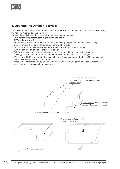

## **8. Opening the Dimmer (Service)**

The software of the internal computer is stored in an EPROM inside of the unit. To update the software, the housing must be opened carefully.

Please follow this instructions carefully to avoid damaging the unit.

- 1. **Pull power plug before starting to open the dimmer. !! Very dangerous !!**
- 2. Remove only those screws, which are really necessary to open the dimmer (see drawing). Do not remove the 4 silver coloured slot screws at the side.
- 3. Do not forget to remove the knob and the small screw (M3) at the front panel.
- 4. Turn the dimmer on its side to make work easier.
- 5. Pull forward cover with front panel 3 cm to the front, then tilt the cover to the top (see drawing). This is very important, because otherwise the encoder can be damaged!
- 6. When the EPROM is changed, all pins must fit into the socket before the EPROM is pressed into the socket. Do not use too much force!
- 7. When the cover is mounted again, please be careful not to damage the encoder. Furthermore make sure the buttons can be moved easily.

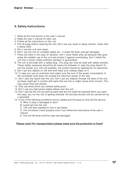## **9. Safety Instructions:**

- 1. Read all the instructions in the user´s manual.
- 2. Keep the user`s manual for later use.
- 3. Follow all the instructions on the unit.
- 4. Pull all plugs before cleaning the unit; don't use any liquid or spray cleaner. Clean with a damp cloth.
- 5. Don´t use the unit near water.
- 6. Don't´ put the unit on unstable tables etc.. It might fall down and get damaged.
- 7. There are slots in the case for aeration; don´t cover these slots up because they guarantee the reliable use of the unit and protect it against overheating. Don´t install the unit into a frame unless sufficient aeration is guaranteed.
- 8. The unit is provided with a safety plug. This plug can only be used with safety sockets. These safety measures should by all means be followed. In case the plug doesn't fit into the socket (e.g. with old sockets), the socket should be replaced by an electrician.
- 9. Don´t put any objects on the wire and make sure nobody steps on it.
- 10. In case you use an extension wire make sure the sum of the power consumption of the connected units does not exceed the maximum power of the wire.
- 11. Don´t spill any liquid over the unit. Don´t put any objects through the slots of the unit, as these might get in contact with parts that are live or might cause short circuits. This may cause fires and shocks.
- 12. Only use wires which are marked safety proof.
- 13. Don´t use any high-power walkie-talkies near the unit.
- 14. Don´t service the unit yourself as parts that are live might be exposed when you open the case; you run the risk of getting shocked. All services should only be carried out by a specialist.
- 15. If one of the following conditions occurs, please pull the plug out and call the service:
	- A. Wire or plug is damaged or worn.
	- B. Liquid got into the unit.
	- C. The unit was exposed to rain or got damp.

D. The unit doesn´t work properly even if you follow the instructions of the user´s manual.

E. The unit fell down and the case was damaged.

#### **Please note! For transportation please make sure the protection is fixed!**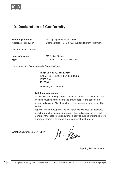

## 10. **Declaration of Conformity**

| Name of producer:<br><b>Address of producer:</b> | MA Lighting Technology GmbH<br>Dachdeckerstr. 16 D-97297 Waldbüttelbrunn Germany |  |  |
|--------------------------------------------------|----------------------------------------------------------------------------------|--|--|
| declares that the product                        |                                                                                  |  |  |
| Name of product:<br>Type:                        | <b>MA Digital Dimmer</b><br>12x2,3 kW 12x3,7 kW 6x5,7 kW                         |  |  |

corresponds the following product specifications:

EN60065, resp. EN 60950-1 EN 55103-1:2009 & 55103-2:2009 EN55014 EN55011

ROHS (II) 2011 / 65 / EU

#### **Additional information:**

All DMX512 and analogue inputs and outputs must be shielded and the shielding must be connected to the ground resp. to the case of the corresponding plug. Also the unit and all connected apparatus must be earthed.

Especially when Socapex or the Hot Patch Field is used, an additional earth between the dimmer housing and the load cable must be used. Generally the local electric power company should be informed before starting dimmers with phase angle control of such power.

Waldbüttelbrunn, July 31. 2014

le Ceun

Dipl. Ing. Michael Adenau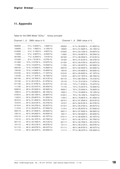## **11. Appendix**

#### Table for the DMX-Mode "2Cha." -binary principle-

| Channel 16 DMX value in %            | Channel 16 DMX value in %            |
|--------------------------------------|--------------------------------------|
| $000000$ $0\%$ ( 0.0000 %  1.5625 %) | 000001  51 % (50.0000 %  51.5625 %)  |
| 100000<br>2% (1.5625 %  3.1250 %)    | 100001  52 % (51.5625 %  53.1250 %)  |
| 010000<br>4 % (3.1250 %  4.6875 %)   | 010001  54 % (53.1250 %  54.6875 %)  |
| 5% (4.6875%  6.2500%)<br>110000      | 110001  55 % (54.6875 %  56.2500 %)  |
| 001000<br>7% (6.2500 %  7.8125 %)    | 001001  57 % (56.2500 %  57.8125 %)  |
| 101000 $8\%$ (7.8125 %  9.3750 %)    | 101001  59 % (57.8125 %  59.3750 %)  |
| 011000  10 % (9.3750 %  10.9375 %)   | $011001$ 60 % (59.3750 %  60.9375 %) |
| 111000  12 % (10.9375 %  12.5000 %)  | 111001  62 % (60.9375 %  62.5000 %)  |
| 000100  13 % (12.5000 %  14.0625 %)  | $000101$ 63 % (62.5000 %  64.0625 %) |
| 100100  15 % (14.0625 %  15.6250 %)  | $100101$ 65 % (64.0625 %  65.6250 %) |
| 010100  16 % (15.6250 %  17.1875 %)  | $010101$ 66 % (65.6250 %  67.1875 %) |
| 110100  18 % (17.1875 %  18.7500 %)  | 110101  68 % (67.1875 %  68.7500 %)  |
| 001100  20 % (18.7500 %  20.3125 %)  | 001101  70 % (68.7500 %  70.3125 %)  |
| 101100  21 % (20.3125 %  21.8750 %)  | 101101  71 % (70.3125 %  71.8750 %)  |
| 011100  23 % (21.8750 %  23.4375 %)  | $011101$ 73 % (71.8750 %  73.4375 %) |
| 111100  24 % (23.4375 %  25.0000 %)  | 111101  74 % (73.4375 %  75.0000 %)  |
| 000010  26 % (25.0000 %  26.5625 %)  | 000011  76 % (75.0000 %  76.5625 %)  |
| 100010  27 % (26.5625 %  28.1250 %)  | 100011  77 % (76.5625 %  78.1250 %)  |
| 010010  29 % (28.1250 %  29.6875 %)  | 010011  79 % (78.1250 %  79.6875 %)  |
| 110010  30 % (29.6875 %  31.2500 %)  | 110011  80 % (79.6875 %  81.2500 %)  |
| 001010  32 % (31.2500 %  32.8125 %)  | $001011$ 82 % (81.2500 %  82.8125 %) |
| 101010  34 % (32.8125 %  34.3750 %)  | 101011  84 % (82.8125 %  84.3750 %)  |
| 011010  35 % (34.3750 %  35.9375 %)  | 011011  85% (84.3750%  85.9375%)     |
| 111010  37 % (35.9375 %  37.5000 %)  | 111011  87 % (85.9375 %  87.5000 %)  |
| 000110  38 % (37.5000 %  39.0625 %)  | $000111$ 88 % (87.5000 %  89.0625 %) |
| 100110  40 % (39.0625 %  40.6250 %)  | 100111  90 % (89.0625 %  90.6250 %)  |
| 010110  41 % (40.6250 %  42.1875 %)  | $010111$ 91 % (90.6250 %  92.1875 %) |
| 110110  43 % (42.1875 %  43.7500 %)  | 110111  93 % (92.1875 %  93.7500 %)  |
| 001110  45 % (43.7500 %  45.3125 %)  | $001111$ 95 % (93.7500 %  95.3125 %) |
| 101110  46 % (45.3125 %  46.8750 %)  | $101111$ 96 % (95.3125 %  96.8750 %) |
| 011110  48 % (46.8750 %  48.4375 %)  | $011111$ 98 % (96.8750 %  98.4375 %) |
| 111110  49 % (48.4375 %  50.0000 %)  | 111111  FF % (98.4375 % 100.0000 %)  |